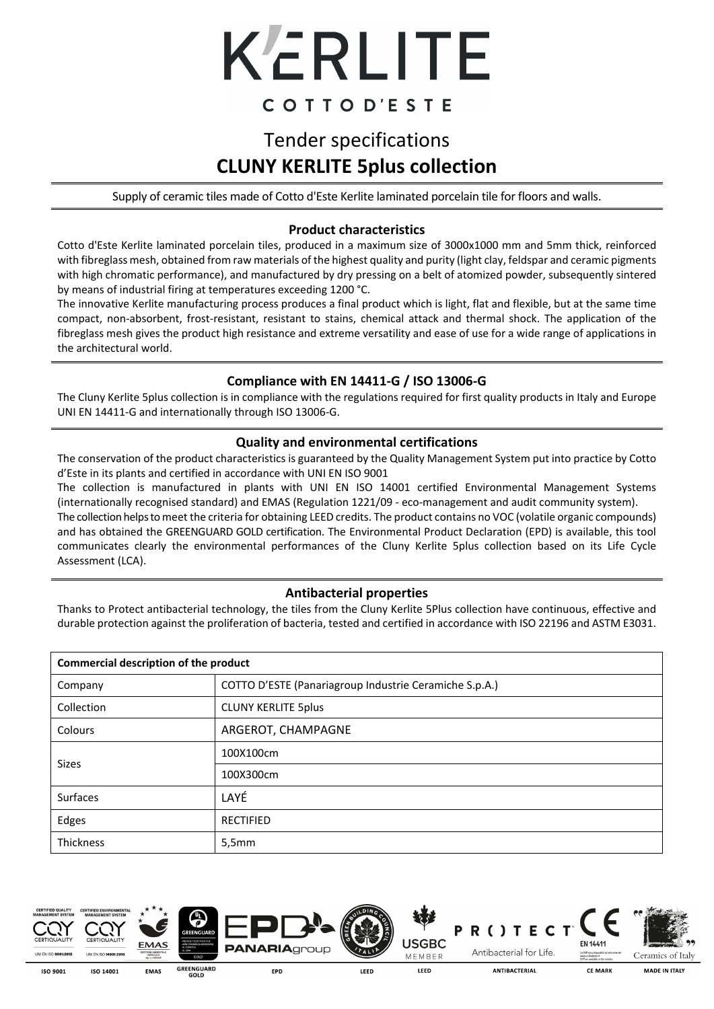

# COTTOD'ESTE

### Tender specifications **CLUNY KERLITE 5plus collection**

Supply of ceramic tiles made of Cotto d'Este Kerlite laminated porcelain tile for floors and walls.

#### **Product characteristics**

Cotto d'Este Kerlite laminated porcelain tiles, produced in a maximum size of 3000x1000 mm and 5mm thick, reinforced with fibreglass mesh, obtained from raw materials of the highest quality and purity (light clay, feldspar and ceramic pigments with high chromatic performance), and manufactured by dry pressing on a belt of atomized powder, subsequently sintered by means of industrial firing at temperatures exceeding 1200 °C.

The innovative Kerlite manufacturing process produces a final product which is light, flat and flexible, but at the same time compact, non-absorbent, frost-resistant, resistant to stains, chemical attack and thermal shock. The application of the fibreglass mesh gives the product high resistance and extreme versatility and ease of use for a wide range of applications in the architectural world.

#### **Compliance with EN 14411-G / ISO 13006-G**

The Cluny Kerlite 5plus collection is in compliance with the regulations required for first quality products in Italy and Europe UNI EN 14411-G and internationally through ISO 13006-G.

#### **Quality and environmental certifications**

The conservation of the product characteristics is guaranteed by the Quality Management System put into practice by Cotto d'Este in its plants and certified in accordance with UNI EN ISO 9001

The collection is manufactured in plants with UNI EN ISO 14001 certified Environmental Management Systems (internationally recognised standard) and EMAS (Regulation 1221/09 - eco-management and audit community system). The collection helps to meet the criteria for obtaining LEED credits. The product contains no VOC (volatile organic compounds) and has obtained the GREENGUARD GOLD certification. The Environmental Product Declaration (EPD) is available, this tool communicates clearly the environmental performances of the Cluny Kerlite 5plus collection based on its Life Cycle Assessment (LCA).

#### **Antibacterial properties**

Thanks to Protect antibacterial technology, the tiles from the Cluny Kerlite 5Plus collection have continuous, effective and durable protection against the proliferation of bacteria, tested and certified in accordance with ISO 22196 and ASTM E3031.

| Commercial description of the product |                                                        |  |  |  |  |
|---------------------------------------|--------------------------------------------------------|--|--|--|--|
| Company                               | COTTO D'ESTE (Panariagroup Industrie Ceramiche S.p.A.) |  |  |  |  |
| Collection                            | <b>CLUNY KERLITE 5plus</b>                             |  |  |  |  |
| Colours                               | ARGEROT, CHAMPAGNE                                     |  |  |  |  |
| <b>Sizes</b>                          | 100X100cm                                              |  |  |  |  |
|                                       | 100X300cm                                              |  |  |  |  |
| Surfaces                              | LAYÉ                                                   |  |  |  |  |
| Edges                                 | <b>RECTIFIED</b>                                       |  |  |  |  |
| Thickness                             | 5,5mm                                                  |  |  |  |  |